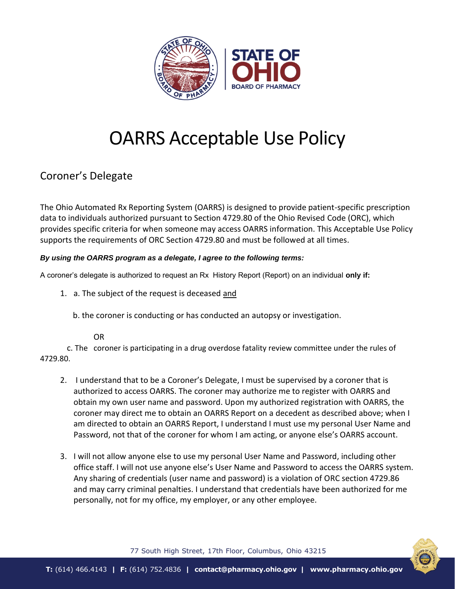

## OARRS Acceptable Use Policy

## Coroner's Delegate

The Ohio Automated Rx Reporting System (OARRS) is designed to provide patient-specific prescription data to individuals authorized pursuant to Section 4729.80 of the Ohio Revised Code (ORC), which provides specific criteria for when someone may access OARRS information. This Acceptable Use Policy supports the requirements of ORC Section 4729.80 and must be followed at all times.

## *By using the OARRS program as a delegate, I agree to the following terms:*

A coroner's delegate is authorized to request an Rx History Report (Report) on an individual **only if:**

- 1. a. The subject of the request is deceased and
	- b. the coroner is conducting or has conducted an autopsy or investigation.

## OR

c. The coroner is participating in a drug overdose fatality review committee under the rules of 4729.80.

- 2. I understand that to be a Coroner's Delegate, I must be supervised by a coroner that is authorized to access OARRS. The coroner may authorize me to register with OARRS and obtain my own user name and password. Upon my authorized registration with OARRS, the coroner may direct me to obtain an OARRS Report on a decedent as described above; when I am directed to obtain an OARRS Report, I understand I must use my personal User Name and Password, not that of the coroner for whom I am acting, or anyone else's OARRS account.
- 3. I will not allow anyone else to use my personal User Name and Password, including other office staff. I will not use anyone else's User Name and Password to access the OARRS system. Any sharing of credentials (user name and password) is a violation of ORC section 4729.86 and may carry criminal penalties. I understand that credentials have been authorized for me personally, not for my office, my employer, or any other employee.



77 South High Street, 17th Floor, Columbus, Ohio 43215